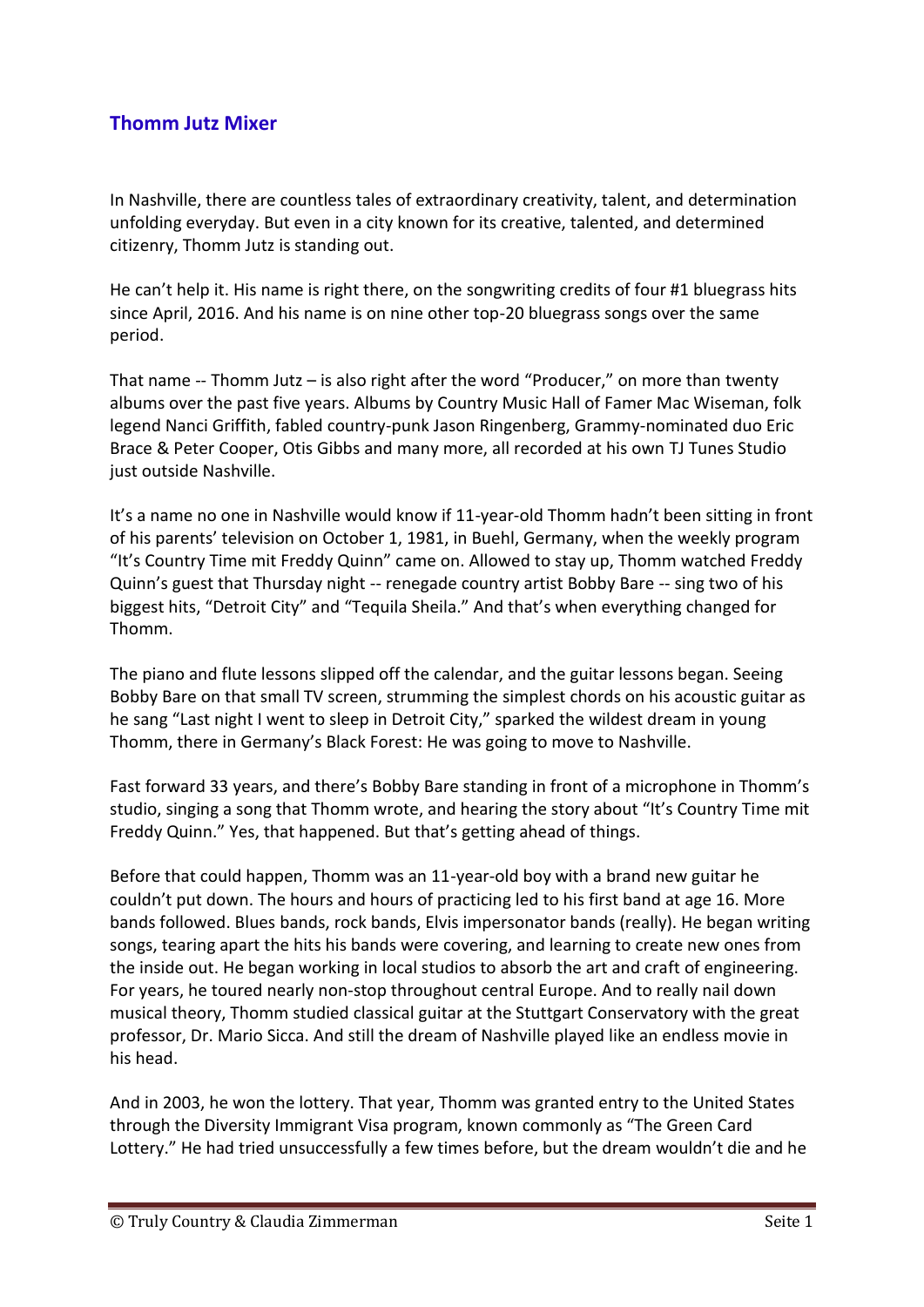## **Thomm Jutz Mixer**

In Nashville, there are countless tales of extraordinary creativity, talent, and determination unfolding everyday. But even in a city known for its creative, talented, and determined citizenry, Thomm Jutz is standing out.

He can't help it. His name is right there, on the songwriting credits of four #1 bluegrass hits since April, 2016. And his name is on nine other top-20 bluegrass songs over the same period.

That name -- Thomm Jutz – is also right after the word "Producer," on more than twenty albums over the past five years. Albums by Country Music Hall of Famer Mac Wiseman, folk legend Nanci Griffith, fabled country-punk Jason Ringenberg, Grammy-nominated duo Eric Brace & Peter Cooper, Otis Gibbs and many more, all recorded at his own TJ Tunes Studio just outside Nashville.

It's a name no one in Nashville would know if 11-year-old Thomm hadn't been sitting in front of his parents' television on October 1, 1981, in Buehl, Germany, when the weekly program "It's Country Time mit Freddy Quinn" came on. Allowed to stay up, Thomm watched Freddy Quinn's guest that Thursday night -- renegade country artist Bobby Bare -- sing two of his biggest hits, "Detroit City" and "Tequila Sheila." And that's when everything changed for Thomm.

The piano and flute lessons slipped off the calendar, and the guitar lessons began. Seeing Bobby Bare on that small TV screen, strumming the simplest chords on his acoustic guitar as he sang "Last night I went to sleep in Detroit City," sparked the wildest dream in young Thomm, there in Germany's Black Forest: He was going to move to Nashville.

Fast forward 33 years, and there's Bobby Bare standing in front of a microphone in Thomm's studio, singing a song that Thomm wrote, and hearing the story about "It's Country Time mit Freddy Quinn." Yes, that happened. But that's getting ahead of things.

Before that could happen, Thomm was an 11-year-old boy with a brand new guitar he couldn't put down. The hours and hours of practicing led to his first band at age 16. More bands followed. Blues bands, rock bands, Elvis impersonator bands (really). He began writing songs, tearing apart the hits his bands were covering, and learning to create new ones from the inside out. He began working in local studios to absorb the art and craft of engineering. For years, he toured nearly non-stop throughout central Europe. And to really nail down musical theory, Thomm studied classical guitar at the Stuttgart Conservatory with the great professor, Dr. Mario Sicca. And still the dream of Nashville played like an endless movie in his head.

And in 2003, he won the lottery. That year, Thomm was granted entry to the United States through the Diversity Immigrant Visa program, known commonly as "The Green Card Lottery." He had tried unsuccessfully a few times before, but the dream wouldn't die and he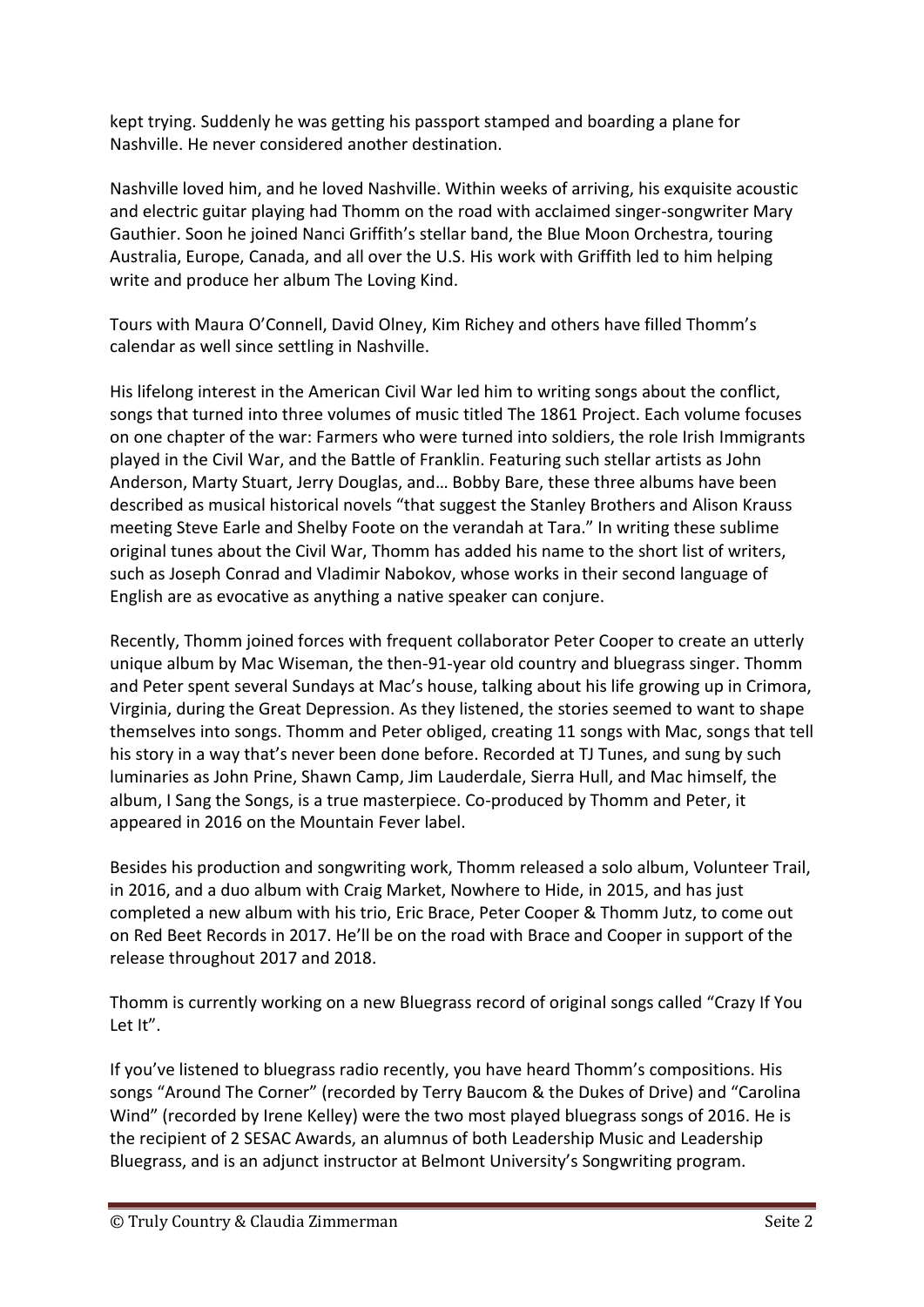kept trying. Suddenly he was getting his passport stamped and boarding a plane for Nashville. He never considered another destination.

Nashville loved him, and he loved Nashville. Within weeks of arriving, his exquisite acoustic and electric guitar playing had Thomm on the road with acclaimed singer-songwriter Mary Gauthier. Soon he joined Nanci Griffith's stellar band, the Blue Moon Orchestra, touring Australia, Europe, Canada, and all over the U.S. His work with Griffith led to him helping write and produce her album The Loving Kind.

Tours with Maura O'Connell, David Olney, Kim Richey and others have filled Thomm's calendar as well since settling in Nashville.

His lifelong interest in the American Civil War led him to writing songs about the conflict, songs that turned into three volumes of music titled The 1861 Project. Each volume focuses on one chapter of the war: Farmers who were turned into soldiers, the role Irish Immigrants played in the Civil War, and the Battle of Franklin. Featuring such stellar artists as John Anderson, Marty Stuart, Jerry Douglas, and… Bobby Bare, these three albums have been described as musical historical novels "that suggest the Stanley Brothers and Alison Krauss meeting Steve Earle and Shelby Foote on the verandah at Tara." In writing these sublime original tunes about the Civil War, Thomm has added his name to the short list of writers, such as Joseph Conrad and Vladimir Nabokov, whose works in their second language of English are as evocative as anything a native speaker can conjure.

Recently, Thomm joined forces with frequent collaborator Peter Cooper to create an utterly unique album by Mac Wiseman, the then-91-year old country and bluegrass singer. Thomm and Peter spent several Sundays at Mac's house, talking about his life growing up in Crimora, Virginia, during the Great Depression. As they listened, the stories seemed to want to shape themselves into songs. Thomm and Peter obliged, creating 11 songs with Mac, songs that tell his story in a way that's never been done before. Recorded at TJ Tunes, and sung by such luminaries as John Prine, Shawn Camp, Jim Lauderdale, Sierra Hull, and Mac himself, the album, I Sang the Songs, is a true masterpiece. Co-produced by Thomm and Peter, it appeared in 2016 on the Mountain Fever label.

Besides his production and songwriting work, Thomm released a solo album, Volunteer Trail, in 2016, and a duo album with Craig Market, Nowhere to Hide, in 2015, and has just completed a new album with his trio, Eric Brace, Peter Cooper & Thomm Jutz, to come out on Red Beet Records in 2017. He'll be on the road with Brace and Cooper in support of the release throughout 2017 and 2018.

Thomm is currently working on a new Bluegrass record of original songs called "Crazy If You Let It".

If you've listened to bluegrass radio recently, you have heard Thomm's compositions. His songs "Around The Corner" (recorded by Terry Baucom & the Dukes of Drive) and "Carolina Wind" (recorded by Irene Kelley) were the two most played bluegrass songs of 2016. He is the recipient of 2 SESAC Awards, an alumnus of both Leadership Music and Leadership Bluegrass, and is an adjunct instructor at Belmont University's Songwriting program.